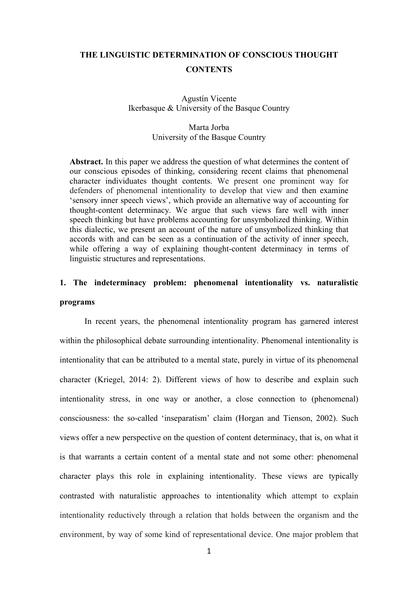# **THE LINGUISTIC DETERMINATION OF CONSCIOUS THOUGHT CONTENTS**

Agustín Vicente Ikerbasque & University of the Basque Country

> Marta Jorba University of the Basque Country

**Abstract.** In this paper we address the question of what determines the content of our conscious episodes of thinking, considering recent claims that phenomenal character individuates thought contents. We present one prominent way for defenders of phenomenal intentionality to develop that view and then examine 'sensory inner speech views', which provide an alternative way of accounting for thought-content determinacy. We argue that such views fare well with inner speech thinking but have problems accounting for unsymbolized thinking. Within this dialectic, we present an account of the nature of unsymbolized thinking that accords with and can be seen as a continuation of the activity of inner speech, while offering a way of explaining thought-content determinacy in terms of linguistic structures and representations.

# **1. The indeterminacy problem: phenomenal intentionality vs. naturalistic programs**

In recent years, the phenomenal intentionality program has garnered interest within the philosophical debate surrounding intentionality. Phenomenal intentionality is intentionality that can be attributed to a mental state, purely in virtue of its phenomenal character (Kriegel, 2014: 2). Different views of how to describe and explain such intentionality stress, in one way or another, a close connection to (phenomenal) consciousness: the so-called 'inseparatism' claim (Horgan and Tienson, 2002). Such views offer a new perspective on the question of content determinacy, that is, on what it is that warrants a certain content of a mental state and not some other: phenomenal character plays this role in explaining intentionality. These views are typically contrasted with naturalistic approaches to intentionality which attempt to explain intentionality reductively through a relation that holds between the organism and the environment, by way of some kind of representational device. One major problem that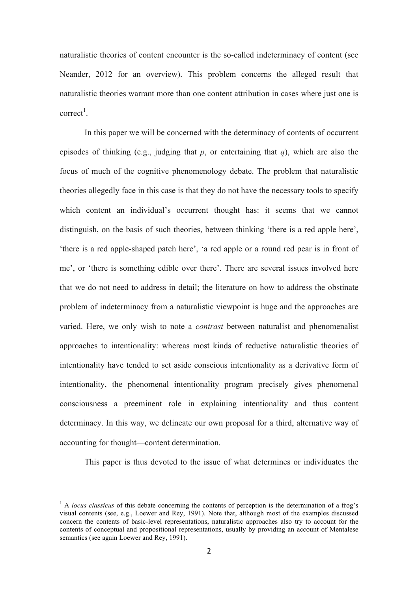naturalistic theories of content encounter is the so-called indeterminacy of content (see Neander, 2012 for an overview). This problem concerns the alleged result that naturalistic theories warrant more than one content attribution in cases where just one is  $correct<sup>1</sup>$ .

In this paper we will be concerned with the determinacy of contents of occurrent episodes of thinking (e.g., judging that  $p$ , or entertaining that  $q$ ), which are also the focus of much of the cognitive phenomenology debate. The problem that naturalistic theories allegedly face in this case is that they do not have the necessary tools to specify which content an individual's occurrent thought has: it seems that we cannot distinguish, on the basis of such theories, between thinking 'there is a red apple here', 'there is a red apple-shaped patch here', 'a red apple or a round red pear is in front of me', or 'there is something edible over there'. There are several issues involved here that we do not need to address in detail; the literature on how to address the obstinate problem of indeterminacy from a naturalistic viewpoint is huge and the approaches are varied. Here, we only wish to note a *contrast* between naturalist and phenomenalist approaches to intentionality: whereas most kinds of reductive naturalistic theories of intentionality have tended to set aside conscious intentionality as a derivative form of intentionality, the phenomenal intentionality program precisely gives phenomenal consciousness a preeminent role in explaining intentionality and thus content determinacy. In this way, we delineate our own proposal for a third, alternative way of accounting for thought—content determination.

This paper is thus devoted to the issue of what determines or individuates the

<sup>&</sup>lt;sup>1</sup> A *locus classicus* of this debate concerning the contents of perception is the determination of a frog's visual contents (see, e.g., Loewer and Rey, 1991). Note that, although most of the examples discussed concern the contents of basic-level representations, naturalistic approaches also try to account for the contents of conceptual and propositional representations, usually by providing an account of Mentalese semantics (see again Loewer and Rey, 1991).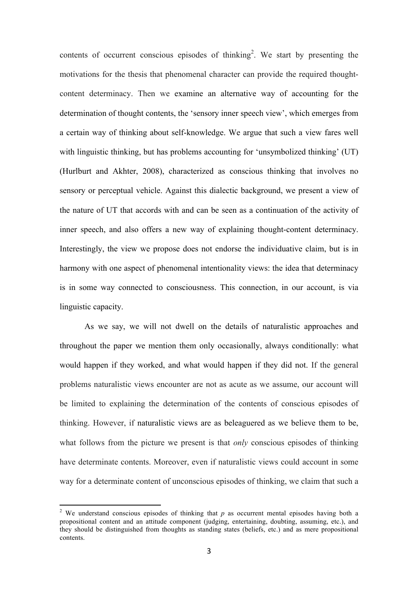contents of occurrent conscious episodes of thinking<sup>2</sup>. We start by presenting the motivations for the thesis that phenomenal character can provide the required thoughtcontent determinacy. Then we examine an alternative way of accounting for the determination of thought contents, the 'sensory inner speech view', which emerges from a certain way of thinking about self-knowledge. We argue that such a view fares well with linguistic thinking, but has problems accounting for 'unsymbolized thinking' (UT) (Hurlburt and Akhter, 2008), characterized as conscious thinking that involves no sensory or perceptual vehicle. Against this dialectic background, we present a view of the nature of UT that accords with and can be seen as a continuation of the activity of inner speech, and also offers a new way of explaining thought-content determinacy. Interestingly, the view we propose does not endorse the individuative claim, but is in harmony with one aspect of phenomenal intentionality views: the idea that determinacy is in some way connected to consciousness. This connection, in our account, is via linguistic capacity.

As we say, we will not dwell on the details of naturalistic approaches and throughout the paper we mention them only occasionally, always conditionally: what would happen if they worked, and what would happen if they did not. If the general problems naturalistic views encounter are not as acute as we assume, our account will be limited to explaining the determination of the contents of conscious episodes of thinking. However, if naturalistic views are as beleaguered as we believe them to be, what follows from the picture we present is that *only* conscious episodes of thinking have determinate contents. Moreover, even if naturalistic views could account in some way for a determinate content of unconscious episodes of thinking, we claim that such a

<sup>&</sup>lt;sup>2</sup> We understand conscious episodes of thinking that *p* as occurrent mental episodes having both a propositional content and an attitude component (judging, entertaining, doubting, assuming, etc.), and they should be distinguished from thoughts as standing states (beliefs, etc.) and as mere propositional contents.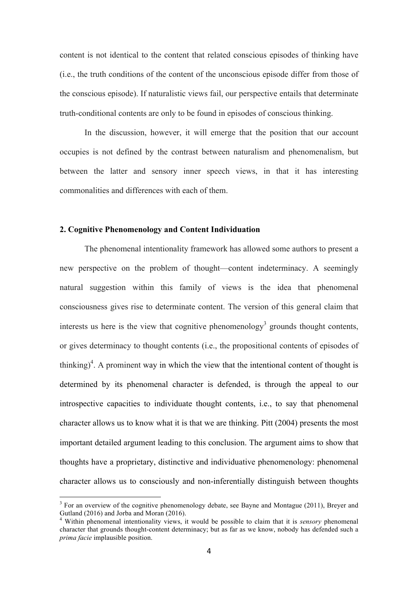content is not identical to the content that related conscious episodes of thinking have (i.e., the truth conditions of the content of the unconscious episode differ from those of the conscious episode). If naturalistic views fail, our perspective entails that determinate truth-conditional contents are only to be found in episodes of conscious thinking.

In the discussion, however, it will emerge that the position that our account occupies is not defined by the contrast between naturalism and phenomenalism, but between the latter and sensory inner speech views, in that it has interesting commonalities and differences with each of them.

# **2. Cognitive Phenomenology and Content Individuation**

The phenomenal intentionality framework has allowed some authors to present a new perspective on the problem of thought—content indeterminacy. A seemingly natural suggestion within this family of views is the idea that phenomenal consciousness gives rise to determinate content. The version of this general claim that interests us here is the view that cognitive phenomenology<sup>3</sup> grounds thought contents, or gives determinacy to thought contents (i.e., the propositional contents of episodes of thinking)<sup>4</sup>. A prominent way in which the view that the intentional content of thought is determined by its phenomenal character is defended, is through the appeal to our introspective capacities to individuate thought contents, i.e., to say that phenomenal character allows us to know what it is that we are thinking. Pitt (2004) presents the most important detailed argument leading to this conclusion. The argument aims to show that thoughts have a proprietary, distinctive and individuative phenomenology: phenomenal character allows us to consciously and non-inferentially distinguish between thoughts

 $3$  For an overview of the cognitive phenomenology debate, see Bayne and Montague (2011), Breyer and Gutland (2016) and Jorba and Moran (2016).

<sup>&</sup>lt;sup>4</sup> Within phenomenal intentionality views, it would be possible to claim that it is *sensory* phenomenal character that grounds thought-content determinacy; but as far as we know, nobody has defended such a *prima facie* implausible position.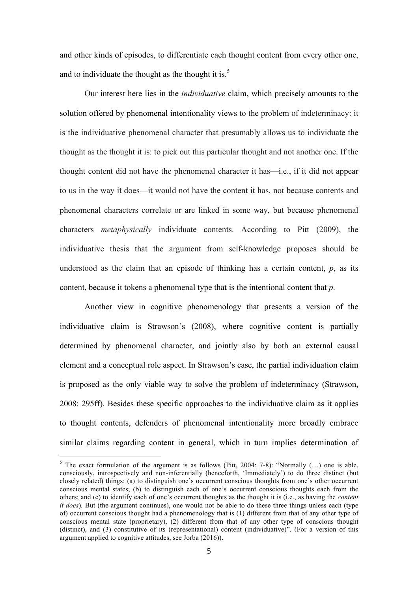and other kinds of episodes, to differentiate each thought content from every other one, and to individuate the thought as the thought it is.<sup>5</sup>

Our interest here lies in the *individuative* claim, which precisely amounts to the solution offered by phenomenal intentionality views to the problem of indeterminacy: it is the individuative phenomenal character that presumably allows us to individuate the thought as the thought it is: to pick out this particular thought and not another one. If the thought content did not have the phenomenal character it has—i.e., if it did not appear to us in the way it does—it would not have the content it has, not because contents and phenomenal characters correlate or are linked in some way, but because phenomenal characters *metaphysically* individuate contents. According to Pitt (2009), the individuative thesis that the argument from self-knowledge proposes should be understood as the claim that an episode of thinking has a certain content,  $p$ , as its content, because it tokens a phenomenal type that is the intentional content that *p*.

Another view in cognitive phenomenology that presents a version of the individuative claim is Strawson's (2008), where cognitive content is partially determined by phenomenal character, and jointly also by both an external causal element and a conceptual role aspect. In Strawson's case, the partial individuation claim is proposed as the only viable way to solve the problem of indeterminacy (Strawson, 2008: 295ff). Besides these specific approaches to the individuative claim as it applies to thought contents, defenders of phenomenal intentionality more broadly embrace similar claims regarding content in general, which in turn implies determination of

<sup>&</sup>lt;sup>5</sup> The exact formulation of the argument is as follows (Pitt, 2004: 7-8): "Normally  $(...)$  one is able, consciously, introspectively and non-inferentially (henceforth, 'Immediately') to do three distinct (but closely related) things: (a) to distinguish one's occurrent conscious thoughts from one's other occurrent conscious mental states; (b) to distinguish each of one's occurrent conscious thoughts each from the others; and (c) to identify each of one's occurrent thoughts as the thought it is (i.e., as having the *content it does*). But (the argument continues), one would not be able to do these three things unless each (type of) occurrent conscious thought had a phenomenology that is (1) different from that of any other type of conscious mental state (proprietary), (2) different from that of any other type of conscious thought (distinct), and (3) constitutive of its (representational) content (individuative)". (For a version of this argument applied to cognitive attitudes, see Jorba (2016)).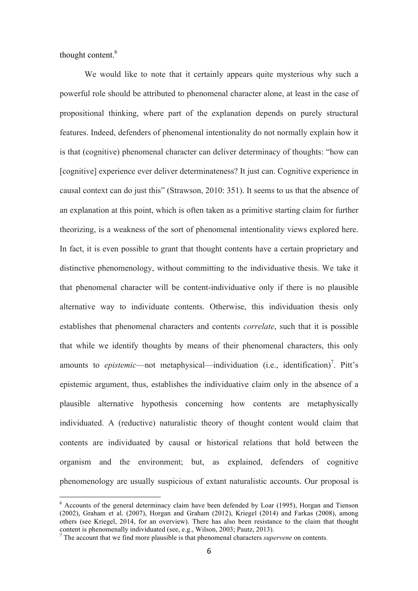thought content.<sup>6</sup>

We would like to note that it certainly appears quite mysterious why such a powerful role should be attributed to phenomenal character alone, at least in the case of propositional thinking, where part of the explanation depends on purely structural features. Indeed, defenders of phenomenal intentionality do not normally explain how it is that (cognitive) phenomenal character can deliver determinacy of thoughts: "how can [cognitive] experience ever deliver determinateness? It just can. Cognitive experience in causal context can do just this" (Strawson, 2010: 351). It seems to us that the absence of an explanation at this point, which is often taken as a primitive starting claim for further theorizing, is a weakness of the sort of phenomenal intentionality views explored here. In fact, it is even possible to grant that thought contents have a certain proprietary and distinctive phenomenology, without committing to the individuative thesis. We take it that phenomenal character will be content-individuative only if there is no plausible alternative way to individuate contents. Otherwise, this individuation thesis only establishes that phenomenal characters and contents *correlate*, such that it is possible that while we identify thoughts by means of their phenomenal characters, this only amounts to *epistemic*—not metaphysical—individuation (i.e., identification)<sup>7</sup>. Pitt's epistemic argument, thus, establishes the individuative claim only in the absence of a plausible alternative hypothesis concerning how contents are metaphysically individuated. A (reductive) naturalistic theory of thought content would claim that contents are individuated by causal or historical relations that hold between the organism and the environment; but, as explained, defenders of cognitive phenomenology are usually suspicious of extant naturalistic accounts. Our proposal is

 <sup>6</sup> Accounts of the general determinacy claim have been defended by Loar (1995), Horgan and Tienson (2002), Graham et al. (2007), Horgan and Graham (2012), Kriegel (2014) and Farkas (2008), among others (see Kriegel, 2014, for an overview). There has also been resistance to the claim that thought content is phenomenally individuated (see, e.g., Wilson, 2003; Pautz, 2013).

<sup>7</sup> The account that we find more plausible is that phenomenal characters *supervene* on contents.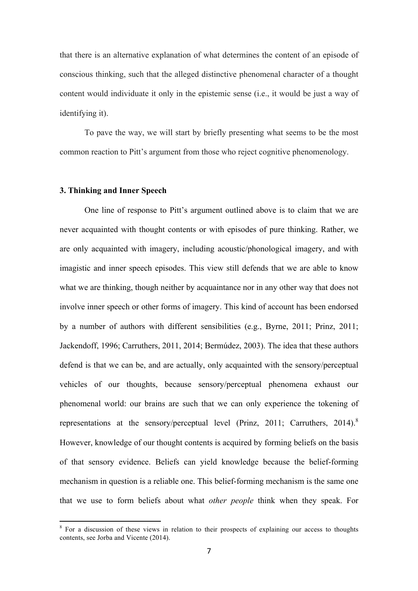that there is an alternative explanation of what determines the content of an episode of conscious thinking, such that the alleged distinctive phenomenal character of a thought content would individuate it only in the epistemic sense (i.e., it would be just a way of identifying it).

To pave the way, we will start by briefly presenting what seems to be the most common reaction to Pitt's argument from those who reject cognitive phenomenology.

#### **3. Thinking and Inner Speech**

One line of response to Pitt's argument outlined above is to claim that we are never acquainted with thought contents or with episodes of pure thinking. Rather, we are only acquainted with imagery, including acoustic/phonological imagery, and with imagistic and inner speech episodes. This view still defends that we are able to know what we are thinking, though neither by acquaintance nor in any other way that does not involve inner speech or other forms of imagery. This kind of account has been endorsed by a number of authors with different sensibilities (e.g., Byrne, 2011; Prinz, 2011; Jackendoff, 1996; Carruthers, 2011, 2014; Bermúdez, 2003). The idea that these authors defend is that we can be, and are actually, only acquainted with the sensory/perceptual vehicles of our thoughts, because sensory/perceptual phenomena exhaust our phenomenal world: our brains are such that we can only experience the tokening of representations at the sensory/perceptual level (Prinz, 2011; Carruthers, 2014).<sup>8</sup> However, knowledge of our thought contents is acquired by forming beliefs on the basis of that sensory evidence. Beliefs can yield knowledge because the belief-forming mechanism in question is a reliable one. This belief-forming mechanism is the same one that we use to form beliefs about what *other people* think when they speak. For

 <sup>8</sup> For a discussion of these views in relation to their prospects of explaining our access to thoughts contents, see Jorba and Vicente (2014).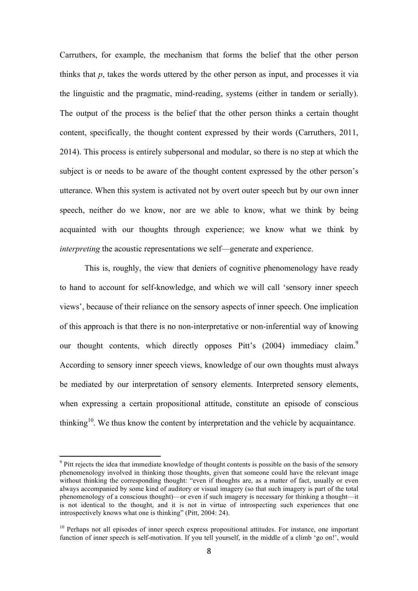Carruthers, for example, the mechanism that forms the belief that the other person thinks that *p*, takes the words uttered by the other person as input, and processes it via the linguistic and the pragmatic, mind-reading, systems (either in tandem or serially). The output of the process is the belief that the other person thinks a certain thought content, specifically, the thought content expressed by their words (Carruthers, 2011, 2014). This process is entirely subpersonal and modular, so there is no step at which the subject is or needs to be aware of the thought content expressed by the other person's utterance. When this system is activated not by overt outer speech but by our own inner speech, neither do we know, nor are we able to know, what we think by being acquainted with our thoughts through experience; we know what we think by *interpreting* the acoustic representations we self—generate and experience.

This is, roughly, the view that deniers of cognitive phenomenology have ready to hand to account for self-knowledge, and which we will call 'sensory inner speech views', because of their reliance on the sensory aspects of inner speech. One implication of this approach is that there is no non-interpretative or non-inferential way of knowing our thought contents, which directly opposes Pitt's (2004) immediacy claim.<sup>9</sup> According to sensory inner speech views, knowledge of our own thoughts must always be mediated by our interpretation of sensory elements. Interpreted sensory elements, when expressing a certain propositional attitude, constitute an episode of conscious thinking<sup>10</sup>. We thus know the content by interpretation and the vehicle by acquaintance.

<sup>&</sup>lt;sup>9</sup> Pitt rejects the idea that immediate knowledge of thought contents is possible on the basis of the sensory phenomenology involved in thinking those thoughts, given that someone could have the relevant image without thinking the corresponding thought: "even if thoughts are, as a matter of fact, usually or even always accompanied by some kind of auditory or visual imagery (so that such imagery is part of the total phenomenology of a conscious thought)—or even if such imagery is necessary for thinking a thought—it is not identical to the thought, and it is not in virtue of introspecting such experiences that one introspectively knows what one is thinking" (Pitt, 2004: 24).

<sup>&</sup>lt;sup>10</sup> Perhaps not all episodes of inner speech express propositional attitudes. For instance, one important function of inner speech is self-motivation. If you tell yourself, in the middle of a climb 'go on!', would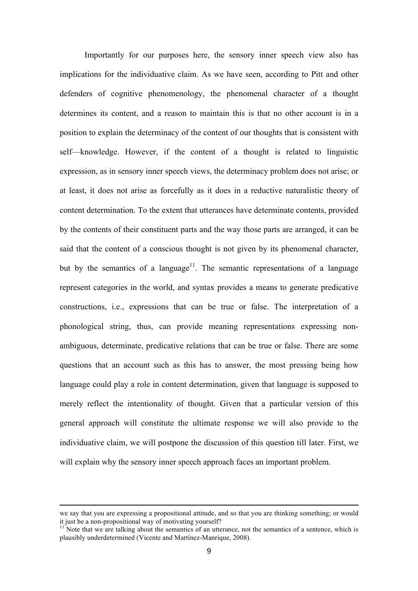Importantly for our purposes here, the sensory inner speech view also has implications for the individuative claim. As we have seen, according to Pitt and other defenders of cognitive phenomenology, the phenomenal character of a thought determines its content, and a reason to maintain this is that no other account is in a position to explain the determinacy of the content of our thoughts that is consistent with self—knowledge. However, if the content of a thought is related to linguistic expression, as in sensory inner speech views, the determinacy problem does not arise; or at least, it does not arise as forcefully as it does in a reductive naturalistic theory of content determination. To the extent that utterances have determinate contents, provided by the contents of their constituent parts and the way those parts are arranged, it can be said that the content of a conscious thought is not given by its phenomenal character, but by the semantics of a language<sup>11</sup>. The semantic representations of a language represent categories in the world, and syntax provides a means to generate predicative constructions, i.e., expressions that can be true or false. The interpretation of a phonological string, thus, can provide meaning representations expressing nonambiguous, determinate, predicative relations that can be true or false. There are some questions that an account such as this has to answer, the most pressing being how language could play a role in content determination, given that language is supposed to merely reflect the intentionality of thought. Given that a particular version of this general approach will constitute the ultimate response we will also provide to the individuative claim, we will postpone the discussion of this question till later. First, we will explain why the sensory inner speech approach faces an important problem.

<sup>&</sup>lt;u> 1989 - Jan Sarajević, politički predsjednik i politički predsjednik i politički politički politički političk</u> we say that you are expressing a propositional attitude, and so that you are thinking something; or would it just be a non-propositional way of motivating yourself?<br><sup>11</sup> Note that we are talking about the semantics of an utterance, not the semantics of a sentence, which is

plausibly underdetermined (Vicente and Martínez-Manrique, 2008).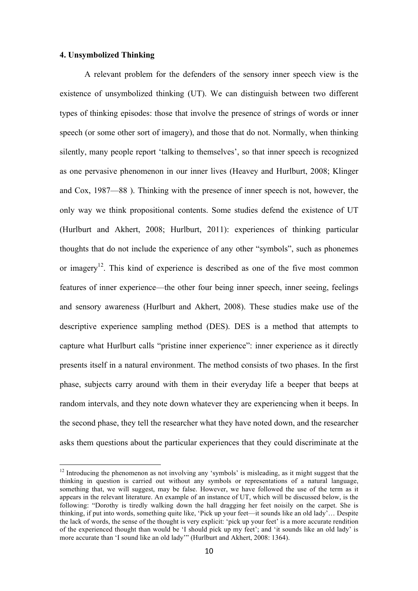### **4. Unsymbolized Thinking**

A relevant problem for the defenders of the sensory inner speech view is the existence of unsymbolized thinking (UT). We can distinguish between two different types of thinking episodes: those that involve the presence of strings of words or inner speech (or some other sort of imagery), and those that do not. Normally, when thinking silently, many people report 'talking to themselves', so that inner speech is recognized as one pervasive phenomenon in our inner lives (Heavey and Hurlburt, 2008; Klinger and Cox, 1987—88 ). Thinking with the presence of inner speech is not, however, the only way we think propositional contents. Some studies defend the existence of UT (Hurlburt and Akhert, 2008; Hurlburt, 2011): experiences of thinking particular thoughts that do not include the experience of any other "symbols", such as phonemes or imagery<sup>12</sup>. This kind of experience is described as one of the five most common features of inner experience—the other four being inner speech, inner seeing, feelings and sensory awareness (Hurlburt and Akhert, 2008). These studies make use of the descriptive experience sampling method (DES). DES is a method that attempts to capture what Hurlburt calls "pristine inner experience": inner experience as it directly presents itself in a natural environment. The method consists of two phases. In the first phase, subjects carry around with them in their everyday life a beeper that beeps at random intervals, and they note down whatever they are experiencing when it beeps. In the second phase, they tell the researcher what they have noted down, and the researcher asks them questions about the particular experiences that they could discriminate at the

<sup>&</sup>lt;sup>12</sup> Introducing the phenomenon as not involving any 'symbols' is misleading, as it might suggest that the thinking in question is carried out without any symbols or representations of a natural language, something that, we will suggest, may be false. However, we have followed the use of the term as it appears in the relevant literature. An example of an instance of UT, which will be discussed below, is the following: "Dorothy is tiredly walking down the hall dragging her feet noisily on the carpet. She is thinking, if put into words, something quite like, 'Pick up your feet—it sounds like an old lady'… Despite the lack of words, the sense of the thought is very explicit: 'pick up your feet' is a more accurate rendition of the experienced thought than would be 'I should pick up my feet'; and 'it sounds like an old lady' is more accurate than 'I sound like an old lady'" (Hurlburt and Akhert, 2008: 1364).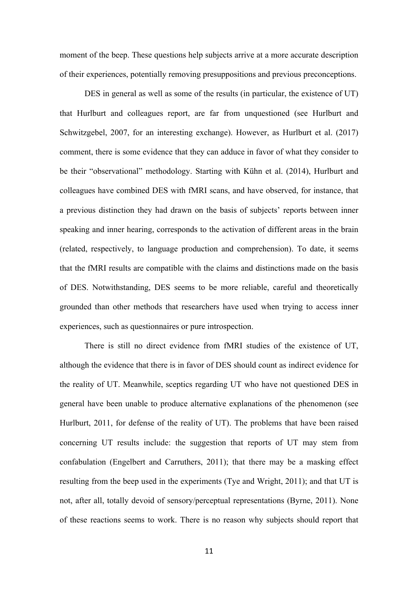moment of the beep. These questions help subjects arrive at a more accurate description of their experiences, potentially removing presuppositions and previous preconceptions.

DES in general as well as some of the results (in particular, the existence of UT) that Hurlburt and colleagues report, are far from unquestioned (see Hurlburt and Schwitzgebel, 2007, for an interesting exchange). However, as Hurlburt et al. (2017) comment, there is some evidence that they can adduce in favor of what they consider to be their "observational" methodology. Starting with Kühn et al. (2014), Hurlburt and colleagues have combined DES with fMRI scans, and have observed, for instance, that a previous distinction they had drawn on the basis of subjects' reports between inner speaking and inner hearing, corresponds to the activation of different areas in the brain (related, respectively, to language production and comprehension). To date, it seems that the fMRI results are compatible with the claims and distinctions made on the basis of DES. Notwithstanding, DES seems to be more reliable, careful and theoretically grounded than other methods that researchers have used when trying to access inner experiences, such as questionnaires or pure introspection.

There is still no direct evidence from fMRI studies of the existence of UT, although the evidence that there is in favor of DES should count as indirect evidence for the reality of UT. Meanwhile, sceptics regarding UT who have not questioned DES in general have been unable to produce alternative explanations of the phenomenon (see Hurlburt, 2011, for defense of the reality of UT). The problems that have been raised concerning UT results include: the suggestion that reports of UT may stem from confabulation (Engelbert and Carruthers, 2011); that there may be a masking effect resulting from the beep used in the experiments (Tye and Wright, 2011); and that UT is not, after all, totally devoid of sensory/perceptual representations (Byrne, 2011). None of these reactions seems to work. There is no reason why subjects should report that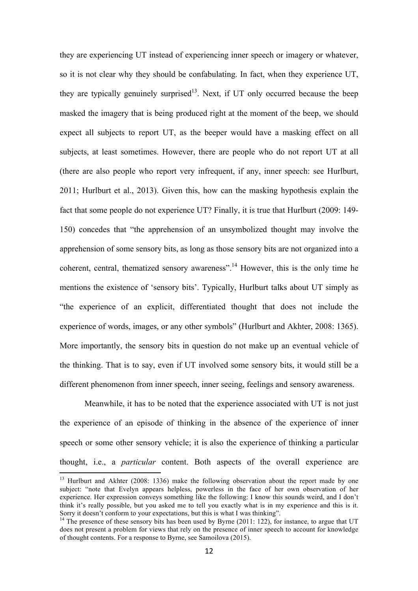they are experiencing UT instead of experiencing inner speech or imagery or whatever, so it is not clear why they should be confabulating. In fact, when they experience UT, they are typically genuinely surprised<sup>13</sup>. Next, if UT only occurred because the beep masked the imagery that is being produced right at the moment of the beep, we should expect all subjects to report UT, as the beeper would have a masking effect on all subjects, at least sometimes. However, there are people who do not report UT at all (there are also people who report very infrequent, if any, inner speech: see Hurlburt, 2011; Hurlburt et al., 2013). Given this, how can the masking hypothesis explain the fact that some people do not experience UT? Finally, it is true that Hurlburt (2009: 149- 150) concedes that "the apprehension of an unsymbolized thought may involve the apprehension of some sensory bits, as long as those sensory bits are not organized into a coherent, central, thematized sensory awareness".<sup>14</sup> However, this is the only time he mentions the existence of 'sensory bits'. Typically, Hurlburt talks about UT simply as "the experience of an explicit, differentiated thought that does not include the experience of words, images, or any other symbols" (Hurlburt and Akhter, 2008: 1365). More importantly, the sensory bits in question do not make up an eventual vehicle of the thinking. That is to say, even if UT involved some sensory bits, it would still be a different phenomenon from inner speech, inner seeing, feelings and sensory awareness.

Meanwhile, it has to be noted that the experience associated with UT is not just the experience of an episode of thinking in the absence of the experience of inner speech or some other sensory vehicle; it is also the experience of thinking a particular thought, i.e., a *particular* content. Both aspects of the overall experience are

<sup>&</sup>lt;sup>13</sup> Hurlburt and Akhter (2008: 1336) make the following observation about the report made by one subject: "note that Evelyn appears helpless, powerless in the face of her own observation of her experience. Her expression conveys something like the following: I know this sounds weird, and I don't think it's really possible, but you asked me to tell you exactly what is in my experience and this is it. Sorry it doesn't conform to your expectations, but this is what I was thinking".

<sup>&</sup>lt;sup>14</sup> The presence of these sensory bits has been used by Byrne (2011: 122), for instance, to argue that UT does not present a problem for views that rely on the presence of inner speech to account for knowledge of thought contents. For a response to Byrne, see Samoilova (2015).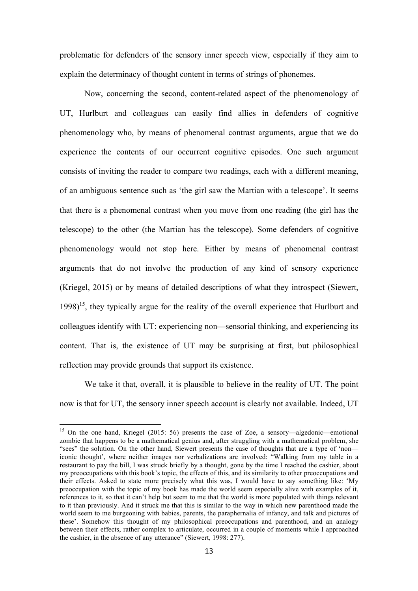problematic for defenders of the sensory inner speech view, especially if they aim to explain the determinacy of thought content in terms of strings of phonemes.

Now, concerning the second, content-related aspect of the phenomenology of UT, Hurlburt and colleagues can easily find allies in defenders of cognitive phenomenology who, by means of phenomenal contrast arguments, argue that we do experience the contents of our occurrent cognitive episodes. One such argument consists of inviting the reader to compare two readings, each with a different meaning, of an ambiguous sentence such as 'the girl saw the Martian with a telescope'. It seems that there is a phenomenal contrast when you move from one reading (the girl has the telescope) to the other (the Martian has the telescope). Some defenders of cognitive phenomenology would not stop here. Either by means of phenomenal contrast arguments that do not involve the production of any kind of sensory experience (Kriegel, 2015) or by means of detailed descriptions of what they introspect (Siewert,  $1998$ <sup>15</sup>, they typically argue for the reality of the overall experience that Hurlburt and colleagues identify with UT: experiencing non—sensorial thinking, and experiencing its content. That is, the existence of UT may be surprising at first, but philosophical reflection may provide grounds that support its existence.

We take it that, overall, it is plausible to believe in the reality of UT. The point now is that for UT, the sensory inner speech account is clearly not available. Indeed, UT

<sup>&</sup>lt;sup>15</sup> On the one hand, Kriegel (2015: 56) presents the case of Zoe, a sensory—algedonic—emotional zombie that happens to be a mathematical genius and, after struggling with a mathematical problem, she "sees" the solution. On the other hand, Siewert presents the case of thoughts that are a type of 'non iconic thought', where neither images nor verbalizations are involved: "Walking from my table in a restaurant to pay the bill, I was struck briefly by a thought, gone by the time I reached the cashier, about my preoccupations with this book's topic, the effects of this, and its similarity to other preoccupations and their effects. Asked to state more precisely what this was, I would have to say something like: 'My preoccupation with the topic of my book has made the world seem especially alive with examples of it, references to it, so that it can't help but seem to me that the world is more populated with things relevant to it than previously. And it struck me that this is similar to the way in which new parenthood made the world seem to me burgeoning with babies, parents, the paraphernalia of infancy, and talk and pictures of these'. Somehow this thought of my philosophical preoccupations and parenthood, and an analogy between their effects, rather complex to articulate, occurred in a couple of moments while I approached the cashier, in the absence of any utterance" (Siewert, 1998: 277).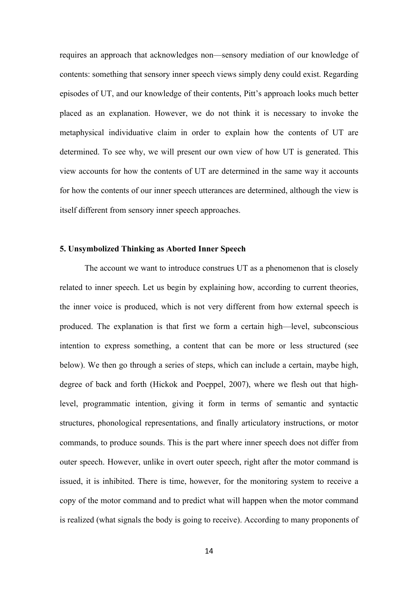requires an approach that acknowledges non—sensory mediation of our knowledge of contents: something that sensory inner speech views simply deny could exist. Regarding episodes of UT, and our knowledge of their contents, Pitt's approach looks much better placed as an explanation. However, we do not think it is necessary to invoke the metaphysical individuative claim in order to explain how the contents of UT are determined. To see why, we will present our own view of how UT is generated. This view accounts for how the contents of UT are determined in the same way it accounts for how the contents of our inner speech utterances are determined, although the view is itself different from sensory inner speech approaches.

# **5. Unsymbolized Thinking as Aborted Inner Speech**

The account we want to introduce construes UT as a phenomenon that is closely related to inner speech. Let us begin by explaining how, according to current theories, the inner voice is produced, which is not very different from how external speech is produced. The explanation is that first we form a certain high—level, subconscious intention to express something, a content that can be more or less structured (see below). We then go through a series of steps, which can include a certain, maybe high, degree of back and forth (Hickok and Poeppel, 2007), where we flesh out that highlevel, programmatic intention, giving it form in terms of semantic and syntactic structures, phonological representations, and finally articulatory instructions, or motor commands, to produce sounds. This is the part where inner speech does not differ from outer speech. However, unlike in overt outer speech, right after the motor command is issued, it is inhibited. There is time, however, for the monitoring system to receive a copy of the motor command and to predict what will happen when the motor command is realized (what signals the body is going to receive). According to many proponents of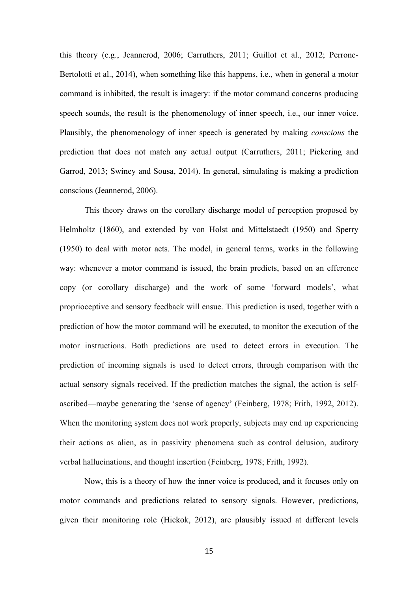this theory (e.g., Jeannerod, 2006; Carruthers, 2011; Guillot et al., 2012; Perrone-Bertolotti et al., 2014), when something like this happens, i.e., when in general a motor command is inhibited, the result is imagery: if the motor command concerns producing speech sounds, the result is the phenomenology of inner speech, i.e., our inner voice. Plausibly, the phenomenology of inner speech is generated by making *conscious* the prediction that does not match any actual output (Carruthers, 2011; Pickering and Garrod, 2013; Swiney and Sousa, 2014). In general, simulating is making a prediction conscious (Jeannerod, 2006).

This theory draws on the corollary discharge model of perception proposed by Helmholtz (1860), and extended by von Holst and Mittelstaedt (1950) and Sperry (1950) to deal with motor acts. The model, in general terms, works in the following way: whenever a motor command is issued, the brain predicts, based on an efference copy (or corollary discharge) and the work of some 'forward models', what proprioceptive and sensory feedback will ensue. This prediction is used, together with a prediction of how the motor command will be executed, to monitor the execution of the motor instructions. Both predictions are used to detect errors in execution. The prediction of incoming signals is used to detect errors, through comparison with the actual sensory signals received. If the prediction matches the signal, the action is selfascribed—maybe generating the 'sense of agency' (Feinberg, 1978; Frith, 1992, 2012). When the monitoring system does not work properly, subjects may end up experiencing their actions as alien, as in passivity phenomena such as control delusion, auditory verbal hallucinations, and thought insertion (Feinberg, 1978; Frith, 1992).

Now, this is a theory of how the inner voice is produced, and it focuses only on motor commands and predictions related to sensory signals. However, predictions, given their monitoring role (Hickok, 2012), are plausibly issued at different levels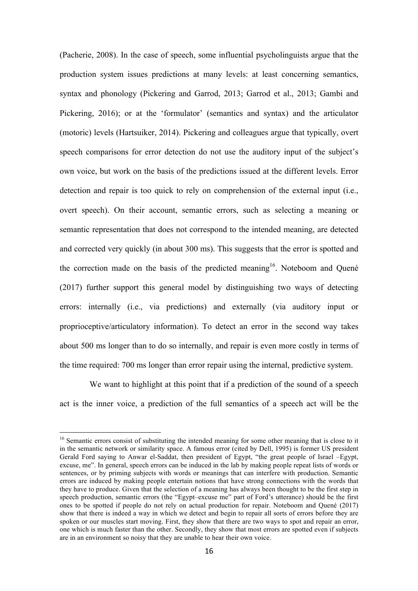(Pacherie, 2008). In the case of speech, some influential psycholinguists argue that the production system issues predictions at many levels: at least concerning semantics, syntax and phonology (Pickering and Garrod, 2013; Garrod et al., 2013; Gambi and Pickering, 2016); or at the 'formulator' (semantics and syntax) and the articulator (motoric) levels (Hartsuiker, 2014). Pickering and colleagues argue that typically, overt speech comparisons for error detection do not use the auditory input of the subject's own voice, but work on the basis of the predictions issued at the different levels. Error detection and repair is too quick to rely on comprehension of the external input (i.e., overt speech). On their account, semantic errors, such as selecting a meaning or semantic representation that does not correspond to the intended meaning, are detected and corrected very quickly (in about 300 ms). This suggests that the error is spotted and the correction made on the basis of the predicted meaning<sup>16</sup>. Noteboom and Quené (2017) further support this general model by distinguishing two ways of detecting errors: internally (i.e., via predictions) and externally (via auditory input or proprioceptive/articulatory information). To detect an error in the second way takes about 500 ms longer than to do so internally, and repair is even more costly in terms of the time required: 700 ms longer than error repair using the internal, predictive system.

We want to highlight at this point that if a prediction of the sound of a speech act is the inner voice, a prediction of the full semantics of a speech act will be the

<sup>&</sup>lt;sup>16</sup> Semantic errors consist of substituting the intended meaning for some other meaning that is close to it in the semantic network or similarity space. A famous error (cited by Dell, 1995) is former US president Gerald Ford saying to Anwar el-Saddat, then president of Egypt, "the great people of Israel –Egypt, excuse, me". In general, speech errors can be induced in the lab by making people repeat lists of words or sentences, or by priming subjects with words or meanings that can interfere with production. Semantic errors are induced by making people entertain notions that have strong connections with the words that they have to produce. Given that the selection of a meaning has always been thought to be the first step in speech production, semantic errors (the "Egypt–excuse me" part of Ford's utterance) should be the first ones to be spotted if people do not rely on actual production for repair. Noteboom and Quené (2017) show that there is indeed a way in which we detect and begin to repair all sorts of errors before they are spoken or our muscles start moving. First, they show that there are two ways to spot and repair an error, one which is much faster than the other. Secondly, they show that most errors are spotted even if subjects are in an environment so noisy that they are unable to hear their own voice.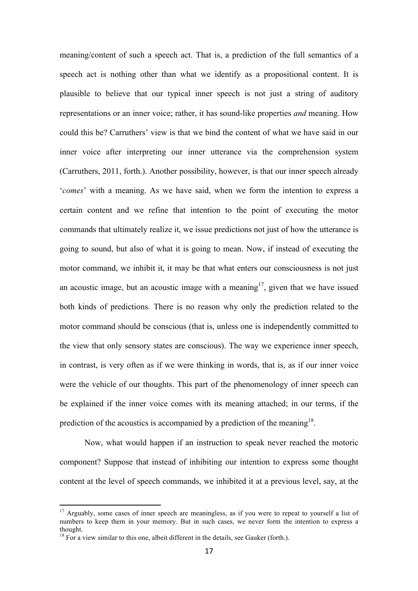meaning/content of such a speech act. That is, a prediction of the full semantics of a speech act is nothing other than what we identify as a propositional content. It is plausible to believe that our typical inner speech is not just a string of auditory representations or an inner voice; rather, it has sound-like properties *and* meaning. How could this be? Carruthers' view is that we bind the content of what we have said in our inner voice after interpreting our inner utterance via the comprehension system (Carruthers, 2011, forth.). Another possibility, however, is that our inner speech already '*comes*' with a meaning. As we have said, when we form the intention to express a certain content and we refine that intention to the point of executing the motor commands that ultimately realize it, we issue predictions not just of how the utterance is going to sound, but also of what it is going to mean. Now, if instead of executing the motor command, we inhibit it, it may be that what enters our consciousness is not just an acoustic image, but an acoustic image with a meaning<sup>17</sup>, given that we have issued both kinds of predictions. There is no reason why only the prediction related to the motor command should be conscious (that is, unless one is independently committed to the view that only sensory states are conscious). The way we experience inner speech, in contrast, is very often as if we were thinking in words, that is, as if our inner voice were the vehicle of our thoughts. This part of the phenomenology of inner speech can be explained if the inner voice comes with its meaning attached; in our terms, if the prediction of the acoustics is accompanied by a prediction of the meaning<sup>18</sup>.

Now, what would happen if an instruction to speak never reached the motoric component? Suppose that instead of inhibiting our intention to express some thought content at the level of speech commands, we inhibited it at a previous level, say, at the

 $17$  Arguably, some cases of inner speech are meaningless, as if you were to repeat to yourself a list of numbers to keep them in your memory. But in such cases, we never form the intention to express a thought.

 $18$  For a view similar to this one, albeit different in the details, see Gauker (forth.).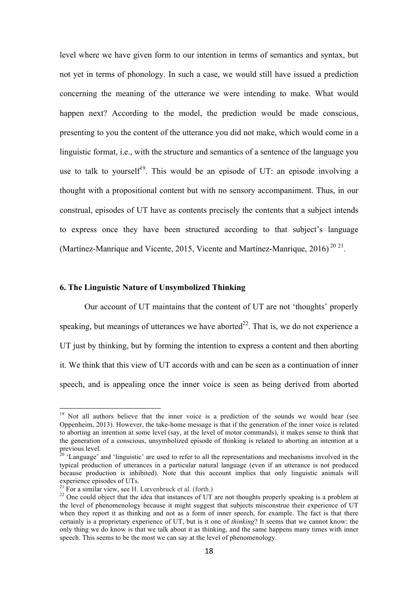level where we have given form to our intention in terms of semantics and syntax, but not yet in terms of phonology. In such a case, we would still have issued a prediction concerning the meaning of the utterance we were intending to make. What would happen next? According to the model, the prediction would be made conscious, presenting to you the content of the utterance you did not make, which would come in a linguistic format, i.e., with the structure and semantics of a sentence of the language you use to talk to yourself<sup>19</sup>. This would be an episode of UT: an episode involving a thought with a propositional content but with no sensory accompaniment. Thus, in our construal, episodes of UT have as contents precisely the contents that a subject intends to express once they have been structured according to that subject's language (Martínez-Manrique and Vicente, 2015, Vicente and Martínez-Manrique,  $2016$ )<sup>2021</sup>.

# **6. The Linguistic Nature of Unsymbolized Thinking**

Our account of UT maintains that the content of UT are not 'thoughts' properly speaking, but meanings of utterances we have aborted<sup>22</sup>. That is, we do not experience a UT just by thinking, but by forming the intention to express a content and then aborting it. We think that this view of UT accords with and can be seen as a continuation of inner speech, and is appealing once the inner voice is seen as being derived from aborted

<sup>&</sup>lt;sup>19</sup> Not all authors believe that the inner voice is a prediction of the sounds we would hear (see Oppenheim, 2013). However, the take-home message is that if the generation of the inner voice is related to aborting an intention at some level (say, at the level of motor commands), it makes sense to think that the generation of a conscious, unsymbolized episode of thinking is related to aborting an intention at a previous level.

<sup>&</sup>lt;sup>20</sup> 'Language' and 'linguistic' are used to refer to all the representations and mechanisms involved in the typical production of utterances in a particular natural language (even if an utterance is not produced because production is inhibited). Note that this account implies that only linguistic animals will experience episodes of UTs.<br><sup>21</sup> For a similar view, see H. Lœvenbruck et al. (forth.)

 $22$  One could object that the idea that instances of UT are not thoughts properly speaking is a problem at the level of phenomenology because it might suggest that subjects misconstrue their experience of UT when they report it as thinking and not as a form of inner speech, for example. The fact is that there certainly is a proprietary experience of UT, but is it one of *thinking*? It seems that we cannot know: the only thing we do know is that we talk about it as thinking, and the same happens many times with inner speech. This seems to be the most we can say at the level of phenomenology.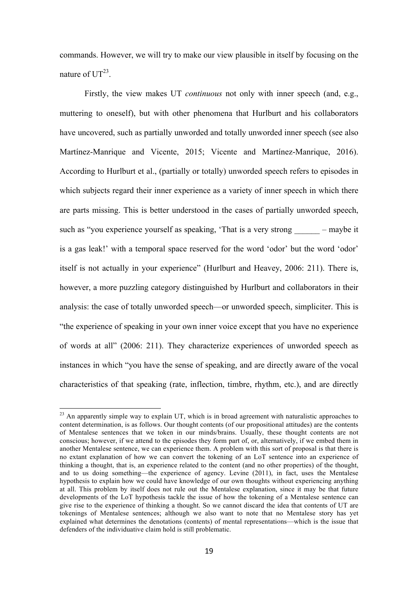commands. However, we will try to make our view plausible in itself by focusing on the nature of  $\text{UT}^{23}$ .

Firstly, the view makes UT *continuous* not only with inner speech (and, e.g., muttering to oneself), but with other phenomena that Hurlburt and his collaborators have uncovered, such as partially unworded and totally unworded inner speech (see also Martínez-Manrique and Vicente, 2015; Vicente and Martínez-Manrique, 2016). According to Hurlburt et al., (partially or totally) unworded speech refers to episodes in which subjects regard their inner experience as a variety of inner speech in which there are parts missing. This is better understood in the cases of partially unworded speech, such as "you experience yourself as speaking, 'That is a very strong  $-$  maybe it is a gas leak!' with a temporal space reserved for the word 'odor' but the word 'odor' itself is not actually in your experience" (Hurlburt and Heavey, 2006: 211). There is, however, a more puzzling category distinguished by Hurlburt and collaborators in their analysis: the case of totally unworded speech—or unworded speech, simpliciter. This is "the experience of speaking in your own inner voice except that you have no experience of words at all" (2006: 211). They characterize experiences of unworded speech as instances in which "you have the sense of speaking, and are directly aware of the vocal characteristics of that speaking (rate, inflection, timbre, rhythm, etc.), and are directly

<sup>&</sup>lt;sup>23</sup> An apparently simple way to explain UT, which is in broad agreement with naturalistic approaches to content determination, is as follows. Our thought contents (of our propositional attitudes) are the contents of Mentalese sentences that we token in our minds/brains. Usually, these thought contents are not conscious; however, if we attend to the episodes they form part of, or, alternatively, if we embed them in another Mentalese sentence, we can experience them. A problem with this sort of proposal is that there is no extant explanation of how we can convert the tokening of an LoT sentence into an experience of thinking a thought, that is, an experience related to the content (and no other properties) of the thought, and to us doing something—the experience of agency. Levine (2011), in fact, uses the Mentalese hypothesis to explain how we could have knowledge of our own thoughts without experiencing anything at all. This problem by itself does not rule out the Mentalese explanation, since it may be that future developments of the LoT hypothesis tackle the issue of how the tokening of a Mentalese sentence can give rise to the experience of thinking a thought. So we cannot discard the idea that contents of UT are tokenings of Mentalese sentences; although we also want to note that no Mentalese story has yet explained what determines the denotations (contents) of mental representations—which is the issue that defenders of the individuative claim hold is still problematic.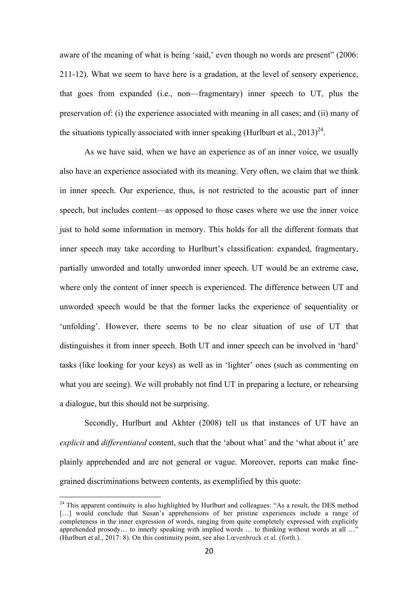aware of the meaning of what is being 'said,' even though no words are present" (2006: 211-12). What we seem to have here is a gradation, at the level of sensory experience, that goes from expanded (i.e., non—fragmentary) inner speech to UT, plus the preservation of: (i) the experience associated with meaning in all cases; and (ii) many of the situations typically associated with inner speaking (Hurlburt et al.,  $2013)^{24}$ .

As we have said, when we have an experience as of an inner voice, we usually also have an experience associated with its meaning. Very often, we claim that we think in inner speech. Our experience, thus, is not restricted to the acoustic part of inner speech, but includes content—as opposed to those cases where we use the inner voice just to hold some information in memory. This holds for all the different formats that inner speech may take according to Hurlburt's classification: expanded, fragmentary, partially unworded and totally unworded inner speech. UT would be an extreme case, where only the content of inner speech is experienced. The difference between UT and unworded speech would be that the former lacks the experience of sequentiality or 'unfolding'. However, there seems to be no clear situation of use of UT that distinguishes it from inner speech. Both UT and inner speech can be involved in 'hard' tasks (like looking for your keys) as well as in 'lighter' ones (such as commenting on what you are seeing). We will probably not find UT in preparing a lecture, or rehearsing a dialogue, but this should not be surprising.

Secondly, Hurlburt and Akhter (2008) tell us that instances of UT have an *explicit* and *differentiated* content, such that the 'about what' and the 'what about it' are plainly apprehended and are not general or vague. Moreover, reports can make finegrained discriminations between contents, as exemplified by this quote:

<sup>&</sup>lt;sup>24</sup> This apparent continuity is also highlighted by Hurlburt and colleagues: "As a result, the DES method [...] would conclude that Susan's apprehensions of her pristine experiences include a range of completeness in the inner expression of words, ranging from quite completely expressed with explicitly apprehended prosody… to innerly speaking with implied words … to thinking without words at all …" (Hurlburt et al., 2017: 8). On this continuity point, see also Lœvenbruck et al. (forth.).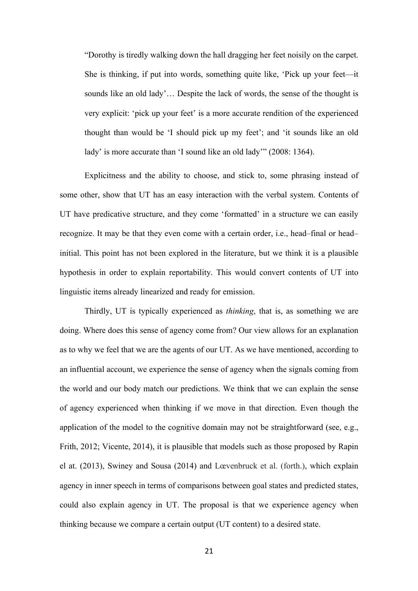"Dorothy is tiredly walking down the hall dragging her feet noisily on the carpet. She is thinking, if put into words, something quite like, 'Pick up your feet—it sounds like an old lady'… Despite the lack of words, the sense of the thought is very explicit: 'pick up your feet' is a more accurate rendition of the experienced thought than would be 'I should pick up my feet'; and 'it sounds like an old lady' is more accurate than 'I sound like an old lady'" (2008: 1364).

Explicitness and the ability to choose, and stick to, some phrasing instead of some other, show that UT has an easy interaction with the verbal system. Contents of UT have predicative structure, and they come 'formatted' in a structure we can easily recognize. It may be that they even come with a certain order, i.e., head–final or head– initial. This point has not been explored in the literature, but we think it is a plausible hypothesis in order to explain reportability. This would convert contents of UT into linguistic items already linearized and ready for emission.

Thirdly, UT is typically experienced as *thinking*, that is, as something we are doing. Where does this sense of agency come from? Our view allows for an explanation as to why we feel that we are the agents of our UT. As we have mentioned, according to an influential account, we experience the sense of agency when the signals coming from the world and our body match our predictions. We think that we can explain the sense of agency experienced when thinking if we move in that direction. Even though the application of the model to the cognitive domain may not be straightforward (see, e.g., Frith, 2012; Vicente, 2014), it is plausible that models such as those proposed by Rapin el at. (2013), Swiney and Sousa (2014) and Lœvenbruck et al. (forth.), which explain agency in inner speech in terms of comparisons between goal states and predicted states, could also explain agency in UT. The proposal is that we experience agency when thinking because we compare a certain output (UT content) to a desired state.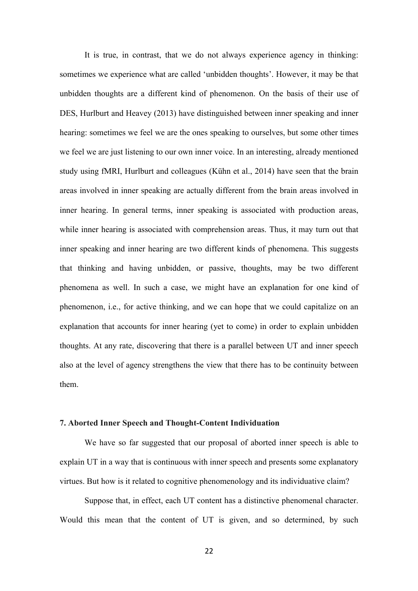It is true, in contrast, that we do not always experience agency in thinking: sometimes we experience what are called 'unbidden thoughts'. However, it may be that unbidden thoughts are a different kind of phenomenon. On the basis of their use of DES, Hurlburt and Heavey (2013) have distinguished between inner speaking and inner hearing: sometimes we feel we are the ones speaking to ourselves, but some other times we feel we are just listening to our own inner voice. In an interesting, already mentioned study using fMRI, Hurlburt and colleagues (Kühn et al., 2014) have seen that the brain areas involved in inner speaking are actually different from the brain areas involved in inner hearing. In general terms, inner speaking is associated with production areas, while inner hearing is associated with comprehension areas. Thus, it may turn out that inner speaking and inner hearing are two different kinds of phenomena. This suggests that thinking and having unbidden, or passive, thoughts, may be two different phenomena as well. In such a case, we might have an explanation for one kind of phenomenon, i.e., for active thinking, and we can hope that we could capitalize on an explanation that accounts for inner hearing (yet to come) in order to explain unbidden thoughts. At any rate, discovering that there is a parallel between UT and inner speech also at the level of agency strengthens the view that there has to be continuity between them.

#### **7. Aborted Inner Speech and Thought-Content Individuation**

We have so far suggested that our proposal of aborted inner speech is able to explain UT in a way that is continuous with inner speech and presents some explanatory virtues. But how is it related to cognitive phenomenology and its individuative claim?

Suppose that, in effect, each UT content has a distinctive phenomenal character. Would this mean that the content of UT is given, and so determined, by such

22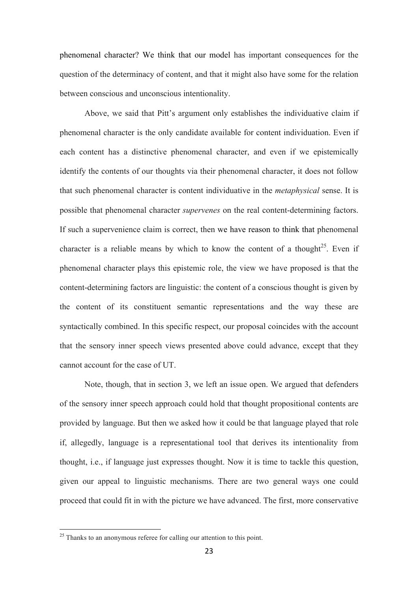phenomenal character? We think that our model has important consequences for the question of the determinacy of content, and that it might also have some for the relation between conscious and unconscious intentionality.

Above, we said that Pitt's argument only establishes the individuative claim if phenomenal character is the only candidate available for content individuation. Even if each content has a distinctive phenomenal character, and even if we epistemically identify the contents of our thoughts via their phenomenal character, it does not follow that such phenomenal character is content individuative in the *metaphysical* sense. It is possible that phenomenal character *supervenes* on the real content-determining factors. If such a supervenience claim is correct, then we have reason to think that phenomenal character is a reliable means by which to know the content of a thought<sup>25</sup>. Even if phenomenal character plays this epistemic role, the view we have proposed is that the content-determining factors are linguistic: the content of a conscious thought is given by the content of its constituent semantic representations and the way these are syntactically combined. In this specific respect, our proposal coincides with the account that the sensory inner speech views presented above could advance, except that they cannot account for the case of UT.

Note, though, that in section 3, we left an issue open. We argued that defenders of the sensory inner speech approach could hold that thought propositional contents are provided by language. But then we asked how it could be that language played that role if, allegedly, language is a representational tool that derives its intentionality from thought, i.e., if language just expresses thought. Now it is time to tackle this question, given our appeal to linguistic mechanisms. There are two general ways one could proceed that could fit in with the picture we have advanced. The first, more conservative

<sup>&</sup>lt;sup>25</sup> Thanks to an anonymous referee for calling our attention to this point.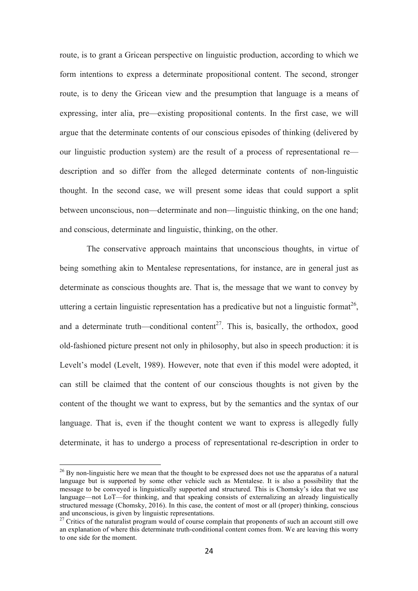route, is to grant a Gricean perspective on linguistic production, according to which we form intentions to express a determinate propositional content. The second, stronger route, is to deny the Gricean view and the presumption that language is a means of expressing, inter alia, pre—existing propositional contents. In the first case, we will argue that the determinate contents of our conscious episodes of thinking (delivered by our linguistic production system) are the result of a process of representational re description and so differ from the alleged determinate contents of non-linguistic thought. In the second case, we will present some ideas that could support a split between unconscious, non—determinate and non—linguistic thinking, on the one hand; and conscious, determinate and linguistic, thinking, on the other.

The conservative approach maintains that unconscious thoughts, in virtue of being something akin to Mentalese representations, for instance, are in general just as determinate as conscious thoughts are. That is, the message that we want to convey by uttering a certain linguistic representation has a predicative but not a linguistic format<sup>26</sup>, and a determinate truth—conditional content<sup>27</sup>. This is, basically, the orthodox, good old-fashioned picture present not only in philosophy, but also in speech production: it is Levelt's model (Levelt, 1989). However, note that even if this model were adopted, it can still be claimed that the content of our conscious thoughts is not given by the content of the thought we want to express, but by the semantics and the syntax of our language. That is, even if the thought content we want to express is allegedly fully determinate, it has to undergo a process of representational re-description in order to

 $26$  By non-linguistic here we mean that the thought to be expressed does not use the apparatus of a natural language but is supported by some other vehicle such as Mentalese. It is also a possibility that the message to be conveyed is linguistically supported and structured. This is Chomsky's idea that we use language—not LoT—for thinking, and that speaking consists of externalizing an already linguistically structured message (Chomsky, 2016). In this case, the content of most or all (proper) thinking, conscious and unconscious, is given by linguistic representations.

 $27$  Critics of the naturalist program would of course complain that proponents of such an account still owe an explanation of where this determinate truth-conditional content comes from. We are leaving this worry to one side for the moment.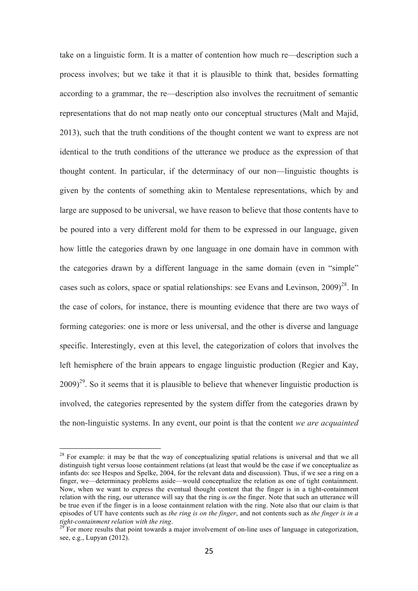take on a linguistic form. It is a matter of contention how much re—description such a process involves; but we take it that it is plausible to think that, besides formatting according to a grammar, the re—description also involves the recruitment of semantic representations that do not map neatly onto our conceptual structures (Malt and Majid, 2013), such that the truth conditions of the thought content we want to express are not identical to the truth conditions of the utterance we produce as the expression of that thought content. In particular, if the determinacy of our non—linguistic thoughts is given by the contents of something akin to Mentalese representations, which by and large are supposed to be universal, we have reason to believe that those contents have to be poured into a very different mold for them to be expressed in our language, given how little the categories drawn by one language in one domain have in common with the categories drawn by a different language in the same domain (even in "simple" cases such as colors, space or spatial relationships: see Evans and Levinson,  $2009<sup>28</sup>$ . In the case of colors, for instance, there is mounting evidence that there are two ways of forming categories: one is more or less universal, and the other is diverse and language specific. Interestingly, even at this level, the categorization of colors that involves the left hemisphere of the brain appears to engage linguistic production (Regier and Kay,  $2009)^{29}$ . So it seems that it is plausible to believe that whenever linguistic production is involved, the categories represented by the system differ from the categories drawn by the non-linguistic systems. In any event, our point is that the content *we are acquainted* 

<sup>&</sup>lt;sup>28</sup> For example: it may be that the way of conceptualizing spatial relations is universal and that we all distinguish tight versus loose containment relations (at least that would be the case if we conceptualize as infants do: see Hespos and Spelke, 2004, for the relevant data and discussion). Thus, if we see a ring on a finger, we—determinacy problems aside—would conceptualize the relation as one of tight containment. Now, when we want to express the eventual thought content that the finger is in a tight-containment relation with the ring, our utterance will say that the ring is *on* the finger. Note that such an utterance will be true even if the finger is in a loose containment relation with the ring. Note also that our claim is that episodes of UT have contents such as *the ring is on the finger*, and not contents such as *the finger is in a* 

<sup>&</sup>lt;sup>F</sup> For more results that point towards a major involvement of on-line uses of language in categorization, see, e.g., Lupyan (2012).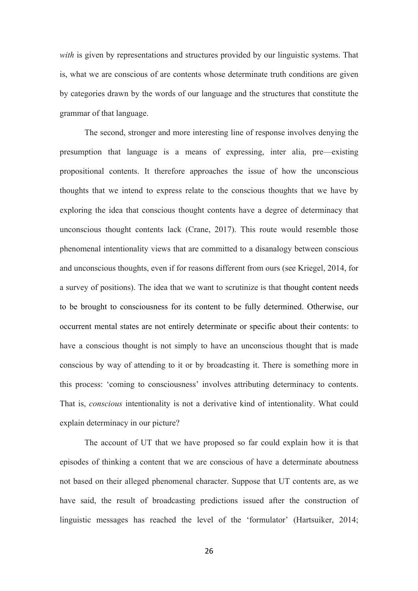*with* is given by representations and structures provided by our linguistic systems. That is, what we are conscious of are contents whose determinate truth conditions are given by categories drawn by the words of our language and the structures that constitute the grammar of that language.

The second, stronger and more interesting line of response involves denying the presumption that language is a means of expressing, inter alia, pre—existing propositional contents. It therefore approaches the issue of how the unconscious thoughts that we intend to express relate to the conscious thoughts that we have by exploring the idea that conscious thought contents have a degree of determinacy that unconscious thought contents lack (Crane, 2017). This route would resemble those phenomenal intentionality views that are committed to a disanalogy between conscious and unconscious thoughts, even if for reasons different from ours (see Kriegel, 2014, for a survey of positions). The idea that we want to scrutinize is that thought content needs to be brought to consciousness for its content to be fully determined. Otherwise, our occurrent mental states are not entirely determinate or specific about their contents: to have a conscious thought is not simply to have an unconscious thought that is made conscious by way of attending to it or by broadcasting it. There is something more in this process: 'coming to consciousness' involves attributing determinacy to contents. That is, *conscious* intentionality is not a derivative kind of intentionality. What could explain determinacy in our picture?

The account of UT that we have proposed so far could explain how it is that episodes of thinking a content that we are conscious of have a determinate aboutness not based on their alleged phenomenal character. Suppose that UT contents are, as we have said, the result of broadcasting predictions issued after the construction of linguistic messages has reached the level of the 'formulator' (Hartsuiker, 2014;

26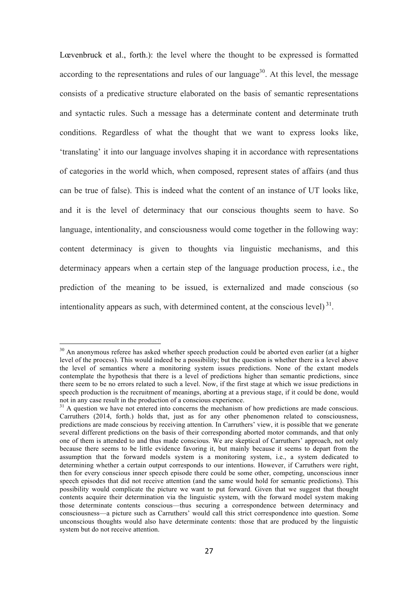Lœvenbruck et al., forth.): the level where the thought to be expressed is formatted according to the representations and rules of our language<sup>30</sup>. At this level, the message consists of a predicative structure elaborated on the basis of semantic representations and syntactic rules. Such a message has a determinate content and determinate truth conditions. Regardless of what the thought that we want to express looks like, 'translating' it into our language involves shaping it in accordance with representations of categories in the world which, when composed, represent states of affairs (and thus can be true of false). This is indeed what the content of an instance of UT looks like, and it is the level of determinacy that our conscious thoughts seem to have. So language, intentionality, and consciousness would come together in the following way: content determinacy is given to thoughts via linguistic mechanisms, and this determinacy appears when a certain step of the language production process, i.e., the prediction of the meaning to be issued, is externalized and made conscious (so intentionality appears as such, with determined content, at the conscious level)  $31$ .

<sup>&</sup>lt;sup>30</sup> An anonymous referee has asked whether speech production could be aborted even earlier (at a higher level of the process). This would indeed be a possibility; but the question is whether there is a level above the level of semantics where a monitoring system issues predictions. None of the extant models contemplate the hypothesis that there is a level of predictions higher than semantic predictions, since there seem to be no errors related to such a level. Now, if the first stage at which we issue predictions in speech production is the recruitment of meanings, aborting at a previous stage, if it could be done, would not in any case result in the production of a conscious experience.

 $31$  A question we have not entered into concerns the mechanism of how predictions are made conscious. Carruthers (2014, forth.) holds that, just as for any other phenomenon related to consciousness, predictions are made conscious by receiving attention. In Carruthers' view, it is possible that we generate several different predictions on the basis of their corresponding aborted motor commands, and that only one of them is attended to and thus made conscious. We are skeptical of Carruthers' approach, not only because there seems to be little evidence favoring it, but mainly because it seems to depart from the assumption that the forward models system is a monitoring system, i.e., a system dedicated to determining whether a certain output corresponds to our intentions. However, if Carruthers were right, then for every conscious inner speech episode there could be some other, competing, unconscious inner speech episodes that did not receive attention (and the same would hold for semantic predictions). This possibility would complicate the picture we want to put forward. Given that we suggest that thought contents acquire their determination via the linguistic system, with the forward model system making those determinate contents conscious—thus securing a correspondence between determinacy and consciousness—a picture such as Carruthers' would call this strict correspondence into question. Some unconscious thoughts would also have determinate contents: those that are produced by the linguistic system but do not receive attention.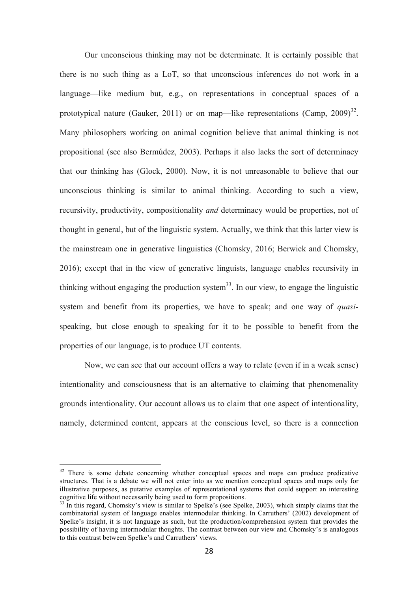Our unconscious thinking may not be determinate. It is certainly possible that there is no such thing as a LoT, so that unconscious inferences do not work in a language—like medium but, e.g., on representations in conceptual spaces of a prototypical nature (Gauker, 2011) or on map—like representations (Camp,  $2009$ )<sup>32</sup>. Many philosophers working on animal cognition believe that animal thinking is not propositional (see also Bermúdez, 2003). Perhaps it also lacks the sort of determinacy that our thinking has (Glock, 2000). Now, it is not unreasonable to believe that our unconscious thinking is similar to animal thinking. According to such a view, recursivity, productivity, compositionality *and* determinacy would be properties, not of thought in general, but of the linguistic system. Actually, we think that this latter view is the mainstream one in generative linguistics (Chomsky, 2016; Berwick and Chomsky, 2016); except that in the view of generative linguists, language enables recursivity in thinking without engaging the production system<sup>33</sup>. In our view, to engage the linguistic system and benefit from its properties, we have to speak; and one way of *quasi*speaking, but close enough to speaking for it to be possible to benefit from the properties of our language, is to produce UT contents.

Now, we can see that our account offers a way to relate (even if in a weak sense) intentionality and consciousness that is an alternative to claiming that phenomenality grounds intentionality. Our account allows us to claim that one aspect of intentionality, namely, determined content, appears at the conscious level, so there is a connection

<sup>&</sup>lt;sup>32</sup> There is some debate concerning whether conceptual spaces and maps can produce predicative structures. That is a debate we will not enter into as we mention conceptual spaces and maps only for illustrative purposes, as putative examples of representational systems that could support an interesting cognitive life without necessarily being used to form propositions.

 $^{33}$  In this regard, Chomsky's view is similar to Spelke's (see Spelke, 2003), which simply claims that the combinatorial system of language enables intermodular thinking. In Carruthers' (2002) development of Spelke's insight, it is not language as such, but the production/comprehension system that provides the possibility of having intermodular thoughts. The contrast between our view and Chomsky's is analogous to this contrast between Spelke's and Carruthers' views.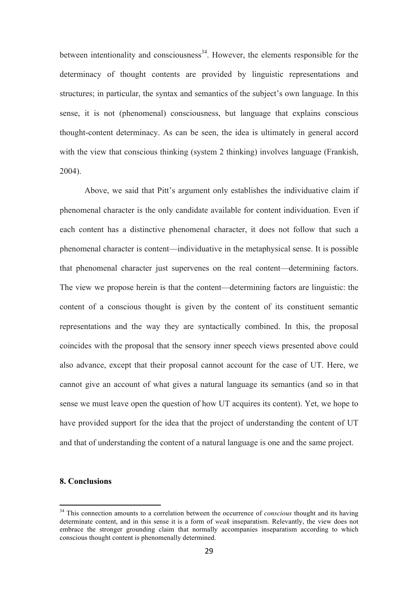between intentionality and consciousness<sup>34</sup>. However, the elements responsible for the determinacy of thought contents are provided by linguistic representations and structures; in particular, the syntax and semantics of the subject's own language. In this sense, it is not (phenomenal) consciousness, but language that explains conscious thought-content determinacy. As can be seen, the idea is ultimately in general accord with the view that conscious thinking (system 2 thinking) involves language (Frankish, 2004).

Above, we said that Pitt's argument only establishes the individuative claim if phenomenal character is the only candidate available for content individuation. Even if each content has a distinctive phenomenal character, it does not follow that such a phenomenal character is content—individuative in the metaphysical sense. It is possible that phenomenal character just supervenes on the real content—determining factors. The view we propose herein is that the content—determining factors are linguistic: the content of a conscious thought is given by the content of its constituent semantic representations and the way they are syntactically combined. In this, the proposal coincides with the proposal that the sensory inner speech views presented above could also advance, except that their proposal cannot account for the case of UT. Here, we cannot give an account of what gives a natural language its semantics (and so in that sense we must leave open the question of how UT acquires its content). Yet, we hope to have provided support for the idea that the project of understanding the content of UT and that of understanding the content of a natural language is one and the same project.

# **8. Conclusions**

<sup>&</sup>lt;sup>34</sup> This connection amounts to a correlation between the occurrence of *conscious* thought and its having determinate content, and in this sense it is a form of *weak* inseparatism. Relevantly, the view does not embrace the stronger grounding claim that normally accompanies inseparatism according to which conscious thought content is phenomenally determined.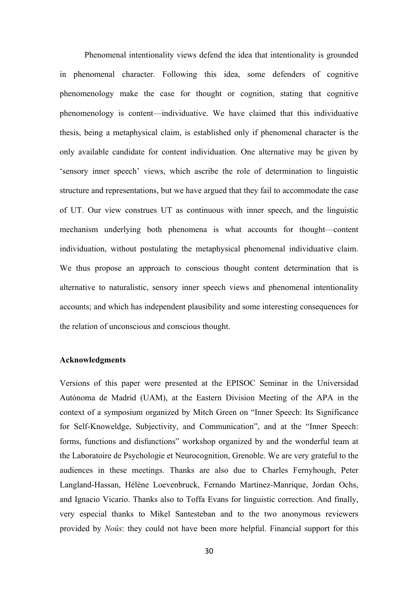Phenomenal intentionality views defend the idea that intentionality is grounded in phenomenal character. Following this idea, some defenders of cognitive phenomenology make the case for thought or cognition, stating that cognitive phenomenology is content—individuative. We have claimed that this individuative thesis, being a metaphysical claim, is established only if phenomenal character is the only available candidate for content individuation. One alternative may be given by 'sensory inner speech' views, which ascribe the role of determination to linguistic structure and representations, but we have argued that they fail to accommodate the case of UT. Our view construes UT as continuous with inner speech, and the linguistic mechanism underlying both phenomena is what accounts for thought—content individuation, without postulating the metaphysical phenomenal individuative claim. We thus propose an approach to conscious thought content determination that is alternative to naturalistic, sensory inner speech views and phenomenal intentionality accounts; and which has independent plausibility and some interesting consequences for the relation of unconscious and conscious thought.

### **Acknowledgments**

Versions of this paper were presented at the EPISOC Seminar in the Universidad Autónoma de Madrid (UAM), at the Eastern Division Meeting of the APA in the context of a symposium organized by Mitch Green on "Inner Speech: Its Significance for Self-Knoweldge, Subjectivity, and Communication", and at the "Inner Speech: forms, functions and disfunctions" workshop organized by and the wonderful team at the Laboratoire de Psychologie et Neurocognition, Grenoble. We are very grateful to the audiences in these meetings. Thanks are also due to Charles Fernyhough, Peter Langland-Hassan, Hélène Loevenbruck, Fernando Martínez-Manrique, Jordan Ochs, and Ignacio Vicario. Thanks also to Toffa Evans for linguistic correction. And finally, very especial thanks to Mikel Santesteban and to the two anonymous reviewers provided by *Noûs*: they could not have been more helpful. Financial support for this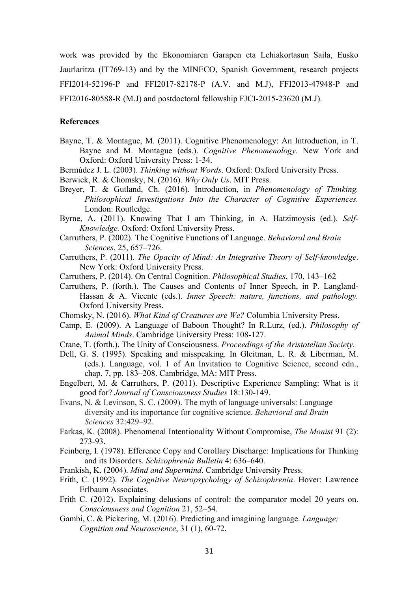work was provided by the Ekonomiaren Garapen eta Lehiakortasun Saila, Eusko Jaurlaritza (IT769-13) and by the MINECO, Spanish Government, research projects FFI2014-52196-P and FFI2017-82178-P (A.V. and M.J), FFI2013-47948-P and FFI2016-80588-R (M.J) and postdoctoral fellowship FJCI-2015-23620 (M.J).

# **References**

- Bayne, T. & Montague, M. (2011). Cognitive Phenomenology: An Introduction, in T. Bayne and M. Montague (eds.). *Cognitive Phenomenology.* New York and Oxford: Oxford University Press: 1-34.
- Bermúdez J. L. (2003). *Thinking without Words*. Oxford: Oxford University Press.
- Berwick, R. & Chomsky, N. (2016). *Why Only Us*. MIT Press.
- Breyer, T. & Gutland, Ch. (2016). Introduction, in *Phenomenology of Thinking. Philosophical Investigations Into the Character of Cognitive Experiences.*  London: Routledge.
- Byrne, A. (2011). Knowing That I am Thinking, in A. Hatzimoysis (ed.). *Self-Knowledge.* Oxford: Oxford University Press.
- Carruthers, P. (2002). The Cognitive Functions of Language. *Behavioral and Brain Sciences*, 25, 657–726.
- Carruthers, P. (2011). *The Opacity of Mind: An Integrative Theory of Self-knowledge*. New York: Oxford University Press.
- Carruthers, P. (2014). On Central Cognition. *Philosophical Studies*, 170, 143–162
- Carruthers, P. (forth.). The Causes and Contents of Inner Speech, in P. Langland-Hassan & A. Vicente (eds.). *Inner Speech: nature, functions, and pathology.*  Oxford University Press.
- Chomsky, N. (2016). *What Kind of Creatures are We?* Columbia University Press.
- Camp, E. (2009). A Language of Baboon Thought? In R.Lurz, (ed.). *Philosophy of Animal Minds*. Cambridge University Press: 108-127.
- Crane, T. (forth.). The Unity of Consciousness. *Proceedings of the Aristotelian Society*.
- Dell, G. S. (1995). Speaking and misspeaking. In Gleitman, L. R. & Liberman, M. (eds.). Language, vol. 1 of An Invitation to Cognitive Science, second edn., chap. 7, pp. 183–208. Cambridge, MA: MIT Press.
- Engelbert, M. & Carruthers, P. (2011). Descriptive Experience Sampling: What is it good for? *Journal of Consciousness Studies* 18:130-149.
- Evans, N. & Levinson, S. C. (2009). The myth of language universals: Language diversity and its importance for cognitive science. *Behavioral and Brain Sciences* 32:429–92.
- Farkas, K. (2008). Phenomenal Intentionality Without Compromise, *The Monist* 91 (2): 273-93.
- Feinberg, I. (1978). Efference Copy and Corollary Discharge: Implications for Thinking and its Disorders. *Schizophrenia Bulletin* 4: 636–640.
- Frankish, K. (2004). *Mind and Supermind*. Cambridge University Press.
- Frith, C. (1992). *The Cognitive Neuropsychology of Schizophrenia*. Hover: Lawrence Erlbaum Associates.
- Frith C. (2012). Explaining delusions of control: the comparator model 20 years on. *Consciousness and Cognition* 21, 52–54.
- Gambi, C. & Pickering, M. (2016). Predicting and imagining language. *Language; Cognition and Neuroscience*, 31 (1), 60-72.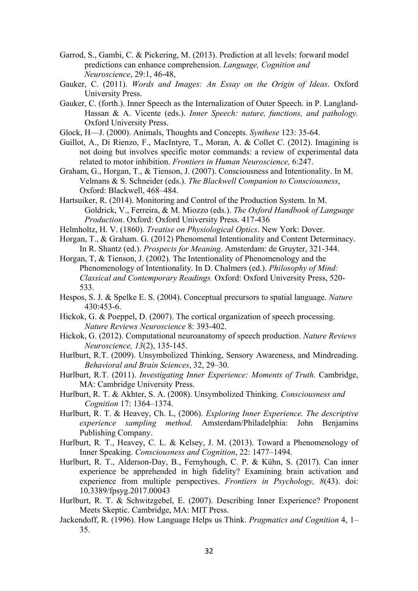- Garrod, S., Gambi, C. & Pickering, M. (2013). Prediction at all levels: forward model predictions can enhance comprehension. *Language, Cognition and Neuroscience*, 29:1, 46-48,
- Gauker, C. (2011). *Words and Images: An Essay on the Origin of Ideas*. Oxford University Press.
- Gauker, C. (forth.). Inner Speech as the Internalization of Outer Speech. in P. Langland-Hassan & A. Vicente (eds.). *Inner Speech: nature, functions, and pathology.*  Oxford University Press.
- Glock, H—J. (2000). Animals, Thoughts and Concepts. *Synthese* 123: 35-64.
- Guillot, A., Di Rienzo, F., MacIntyre, T., Moran, A. & Collet C. (2012). Imagining is not doing but involves specific motor commands: a review of experimental data related to motor inhibition. *Frontiers in Human Neuroscience,* 6:247.
- Graham, G., Horgan, T., & Tienson, J. (2007). Consciousness and Intentionality. In M. Velmans & S. Schneider (eds.). *The Blackwell Companion to Consciousness*, Oxford: Blackwell, 468–484.
- Hartsuiker, R. (2014). Monitoring and Control of the Production System. In M. Goldrick, V., Ferreira, & M. Miozzo (eds.). *The Oxford Handbook of Language Production*. Oxford: Oxford University Press. 417-436
- Helmholtz, H. V. (1860). *Treatise on Physiological Optics*. New York: Dover.
- Horgan, T., & Graham. G. (2012) Phenomenal Intentionality and Content Determinacy. In R. Shantz (ed.). *Prospects for Meaning*. Amsterdam: de Gruyter, 321-344.
- Horgan, T, & Tienson, J. (2002). The Intentionality of Phenomenology and the Phenomenology of Intentionality. In D. Chalmers (ed.). *Philosophy of Mind: Classical and Contemporary Readings.* Oxford: Oxford University Press, 520- 533.
- Hespos, S. J. & Spelke E. S. (2004). Conceptual precursors to spatial language. *Nature* 430:453-6.
- Hickok, G. & Poeppel, D. (2007). The cortical organization of speech processing. *Nature Reviews Neuroscience* 8: 393-402.
- Hickok, G. (2012). Computational neuroanatomy of speech production. *Nature Reviews Neuroscience, 13*(2), 135-145.
- Hurlburt, R.T. (2009). Unsymbolized Thinking, Sensory Awareness, and Mindreading. *Behavioral and Brain Sciences*, 32, 29–30.
- Hurlburt, R.T. (2011). *Investigating Inner Experience: Moments of Truth*. Cambridge, MA: Cambridge University Press.
- Hurlburt, R. T. & Akhter, S. A. (2008). Unsymbolized Thinking*. Consciousness and Cognition* 17: 1364–1374.
- Hurlburt, R. T. & Heavey, Ch. L, (2006). *Exploring Inner Experience. The descriptive experience sampling method*. Amsterdam/Philadelphia: John Benjamins Publishing Company.
- Hurlburt, R. T., Heavey, C. L. & Kelsey, J. M. (2013). Toward a Phenomenology of Inner Speaking. *Consciousness and Cognition*, 22: 1477–1494.
- Hurlburt, R. T., Alderson-Day, B., Fernyhough, C. P. & Kühn, S. (2017). Can inner experience be apprehended in high fidelity? Examining brain activation and experience from multiple perspectives. *Frontiers in Psychology, 8*(43). doi: 10.3389/fpsyg.2017.00043
- Hurlburt, R. T. & Schwitzgebel, E. (2007). Describing Inner Experience? Proponent Meets Skeptic. Cambridge, MA: MIT Press.
- Jackendoff, R. (1996). How Language Helps us Think. *Pragmatics and Cognition* 4, 1– 35.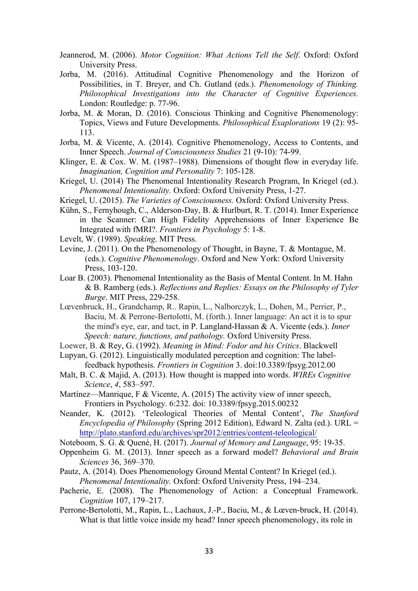- Jeannerod, M. (2006). *Motor Cognition: What Actions Tell the Self*. Oxford: Oxford University Press.
- Jorba, M. (2016). Attitudinal Cognitive Phenomenology and the Horizon of Possibilities, in T. Breyer, and Ch. Gutland (eds.). *Phenomenology of Thinking. Philosophical Investigations into the Character of Cognitive Experiences.*  London: Routledge: p. 77-96.
- Jorba, M. & Moran, D. (2016). Conscious Thinking and Cognitive Phenomenology: Topics, Views and Future Developments. *Philosophical Exaplorations* 19 (2): 95- 113.
- Jorba, M. & Vicente, A. (2014). Cognitive Phenomenology, Access to Contents, and Inner Speech. *Journal of Consciousness Studies* 21 (9-10): 74-99.
- Klinger, E. & Cox. W. M. (1987–1988). Dimensions of thought flow in everyday life. *Imagination, Cognition and Personality* 7: 105-128.
- Kriegel, U. (2014) The Phenomenal Intentionality Research Program, In Kriegel (ed.). *Phenomenal Intentionality.* Oxford: Oxford University Press, 1-27.
- Kriegel, U. (2015). *The Varieties of Consciousness.* Oxford: Oxford University Press.
- Kühn, S., Fernyhough, C., Alderson-Day, B. & Hurlburt, R. T. (2014). Inner Experience in the Scanner: Can High Fidelity Apprehensions of Inner Experience Be Integrated with fMRI?. *Frontiers in Psychology* 5: 1-8.
- Levelt, W. (1989). *Speaking*. MIT Press.
- Levine, J. (2011). On the Phenomenology of Thought, in Bayne, T. & Montague, M. (eds.). *Cognitive Phenomenology*. Oxford and New York: Oxford University Press, 103-120.
- Loar B. (2003). Phenomenal Intentionality as the Basis of Mental Content. In M. Hahn & B. Ramberg (eds.). *Reflections and Replies: Essays on the Philosophy of Tyler Burge*. MIT Press, 229-258.
- Lœvenbruck, H., Grandchamp, R.. Rapin, L., Nalborczyk, L., Dohen, M., Perrier, P., Baciu, M. & Perrone-Bertolotti, M. (forth.). Inner language: An act it is to spur the mind's eye, ear, and tact, in P. Langland-Hassan & A. Vicente (eds.). *Inner Speech: nature, functions, and pathology.* Oxford University Press.
- Loewer, B. & Rey, G. (1992). *Meaning in Mind: Fodor and his Critics*. Blackwell
- Lupyan, G. (2012). Linguistically modulated perception and cognition: The labelfeedback hypothesis. *Frontiers in Cognition* 3. doi:10.3389/fpsyg.2012.00
- Malt, B. C. & Majid, A. (2013). How thought is mapped into words. *WIREs Cognitive Science*, *4*, 583–597.
- Martínez—Manrique, F & Vicente, A. (2015) The activity view of inner speech, Frontiers in Psychology. 6:232. doi: 10.3389/fpsyg.2015.00232
- Neander, K. (2012). 'Teleological Theories of Mental Content', *The Stanford Encyclopedia of Philosophy* (Spring 2012 Edition), Edward N. Zalta (ed.). URL = http://plato.stanford.edu/archives/spr2012/entries/content-teleological/
- Noteboom, S. G. & Quené, H. (2017). *Journal of Memory and Language*, 95: 19-35.
- Oppenheim G. M. (2013). Inner speech as a forward model? *Behavioral and Brain Sciences* 36, 369–370.
- Pautz, A. (2014). Does Phenomenology Ground Mental Content? In Kriegel (ed.). *Phenomenal Intentionality.* Oxford: Oxford University Press, 194–234.
- Pacherie, E. (2008). The Phenomenology of Action: a Conceptual Framework. *Cognition* 107, 179–217.
- Perrone-Bertolotti, M., Rapin, L., Lachaux, J.-P., Baciu, M., & Lœven-bruck, H. (2014). What is that little voice inside my head? Inner speech phenomenology, its role in